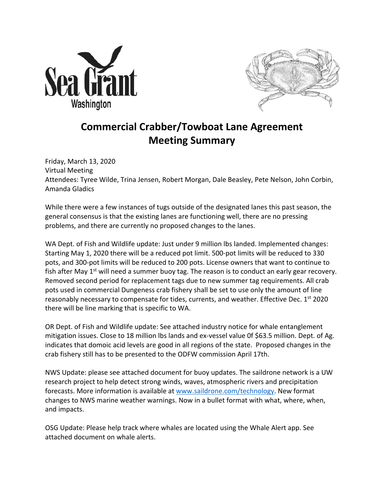



## **Commercial Crabber/Towboat Lane Agreement Meeting Summary**

Friday, March 13, 2020 Virtual Meeting Attendees: Tyree Wilde, Trina Jensen, Robert Morgan, Dale Beasley, Pete Nelson, John Corbin, Amanda Gladics

While there were a few instances of tugs outside of the designated lanes this past season, the general consensus is that the existing lanes are functioning well, there are no pressing problems, and there are currently no proposed changes to the lanes.

WA Dept. of Fish and Wildlife update: Just under 9 million lbs landed. Implemented changes: Starting May 1, 2020 there will be a reduced pot limit. 500-pot limits will be reduced to 330 pots, and 300-pot limits will be reduced to 200 pots. License owners that want to continue to fish after May  $1<sup>st</sup>$  will need a summer buoy tag. The reason is to conduct an early gear recovery. Removed second period for replacement tags due to new summer tag requirements. All crab pots used in commercial Dungeness crab fishery shall be set to use only the amount of line reasonably necessary to compensate for tides, currents, and weather. Effective Dec.  $1^{st}$  2020 there will be line marking that is specific to WA.

OR Dept. of Fish and Wildlife update: See attached industry notice for whale entanglement mitigation issues. Close to 18 million lbs lands and ex-vessel value 0f \$63.5 million. Dept. of Ag. indicates that domoic acid levels are good in all regions of the state. Proposed changes in the crab fishery still has to be presented to the ODFW commission April 17th.

NWS Update: please see attached document for buoy updates. The saildrone network is a UW research project to help detect strong winds, waves, atmospheric rivers and precipitation forecasts. More information is available at www.saildrone.com/technology. New format changes to NWS marine weather warnings. Now in a bullet format with what, where, when, and impacts.

OSG Update: Please help track where whales are located using the Whale Alert app. See attached document on whale alerts.